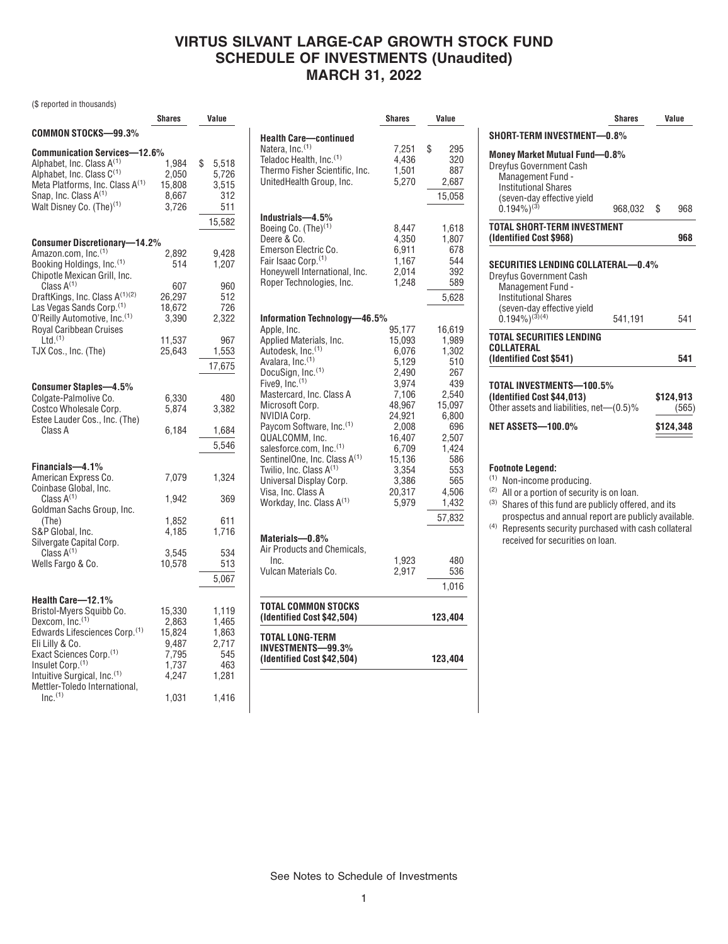# **VIRTUS SILVANT LARGE-CAP GROWTH STOCK FUND SCHEDULE OF INVESTMENTS (Unaudited) MARCH 31, 2022**

(\$ reported in thousands)

|                                             | Shares | Value       |
|---------------------------------------------|--------|-------------|
| COMMON STOCKS-99.3%                         |        |             |
| <b>Communication Services-12.6%</b>         |        |             |
| Alphabet, Inc. Class A <sup>(1)</sup>       | 1,984  | \$<br>5,518 |
| Alphabet, Inc. Class C(1)                   | 2,050  | 5,726       |
| Meta Platforms, Inc. Class A <sup>(1)</sup> | 15,808 | 3,515       |
| Snap, Inc. Class A(1)                       | 8,667  | 312         |
| Walt Disney Co. (The) <sup>(1)</sup>        | 3,726  | 511         |
|                                             |        |             |
|                                             |        | 15,582      |
| <b>Consumer Discretionary-14.2%</b>         |        |             |
| Amazon.com, Inc. <sup>(1)</sup>             | 2,892  | 9,428       |
| Booking Holdings, Inc. (1)                  | 514    | 1,207       |
| Chipotle Mexican Grill, Inc.                |        |             |
| Class $A^{(1)}$                             | 607    | 960         |
| DraftKings, Inc. Class A(1)(2)              | 26,297 | 512         |
| Las Vegas Sands Corp. <sup>(1)</sup>        | 18,672 | 726         |
| O'Reilly Automotive, Inc.(1)                | 3,390  | 2,322       |
| Royal Caribbean Cruises                     |        |             |
| $\text{Ltd.}^{(1)}$                         | 11,537 | 967         |
| TJX Cos., Inc. (The)                        | 25,643 | 1,553       |
|                                             |        | 17,675      |
|                                             |        |             |
| <b>Consumer Staples-4.5%</b>                |        |             |
| Colgate-Palmolive Co.                       | 6,330  | 480         |
| Costco Wholesale Corp.                      | 5,874  | 3,382       |
| Estee Lauder Cos., Inc. (The)               |        |             |
| Class A                                     | 6,184  | 1,684       |
|                                             |        | 5,546       |
|                                             |        |             |
| Financials-4.1%                             |        |             |
| American Express Co.                        | 7,079  | 1,324       |
| Coinbase Global, Inc.                       |        |             |
| Class $A^{(1)}$                             | 1,942  | 369         |
| Goldman Sachs Group, Inc.                   |        |             |
| (The)                                       | 1,852  | 611         |
| S&P Global, Inc.                            | 4,185  | 1,716       |
| Silvergate Capital Corp.                    |        |             |
| Class $A^{(1)}$                             | 3,545  | 534         |
| Wells Fargo & Co.                           | 10,578 | 513         |
|                                             |        | 5,067       |
|                                             |        |             |
| Health Care-12.1%                           |        |             |
| Bristol-Myers Squibb Co.                    | 15,330 | 1,119       |
| Dexcom, Inc. <sup>(1)</sup>                 | 2,863  | 1,465       |
| Edwards Lifesciences Corp. <sup>(1)</sup>   | 15,824 | 1,863       |
| Eli Lilly & Co.                             | 9,487  | 2,717       |
| Exact Sciences Corp. <sup>(1)</sup>         | 7,795  | 545         |
| Insulet Corp. <sup>(1)</sup>                | 1,737  | 463         |
| Intuitive Surgical, Inc. <sup>(1)</sup>     | 4,247  | 1,281       |
| Mettler-Toledo International,               |        |             |
| Inc. <sup>(1)</sup>                         | 1,031  | 1,416       |

|                                                                                                                                                                                                                                                                                                                                                                                                                                                                    | <b>Shares</b>                                                                                                                                                | Value                                                                                                                                               |
|--------------------------------------------------------------------------------------------------------------------------------------------------------------------------------------------------------------------------------------------------------------------------------------------------------------------------------------------------------------------------------------------------------------------------------------------------------------------|--------------------------------------------------------------------------------------------------------------------------------------------------------------|-----------------------------------------------------------------------------------------------------------------------------------------------------|
| <b>Health Care—continued</b><br>Natera, Inc.(1)<br>Teladoc Health, Inc.(1)<br>Thermo Fisher Scientific, Inc.<br>UnitedHealth Group, Inc.                                                                                                                                                                                                                                                                                                                           | 7,251<br>4.436<br>1,501<br>5,270                                                                                                                             | \$<br>295<br>320<br>887<br>2,687<br>15,058                                                                                                          |
| Industrials-4.5%<br>Boeing Co. (The) <sup>(1)</sup><br>Deere & Co.<br>Emerson Electric Co.<br>Fair Isaac Corp. <sup>(1)</sup><br>Honeywell International, Inc.<br>Roper Technologies, Inc.                                                                                                                                                                                                                                                                         | 8,447<br>4,350<br>6,911<br>1,167<br>2,014<br>1,248                                                                                                           | 1,618<br>1,807<br>678<br>544<br>392<br>589<br>5,628                                                                                                 |
| Information Technology-46.5%                                                                                                                                                                                                                                                                                                                                                                                                                                       |                                                                                                                                                              |                                                                                                                                                     |
| Apple, Inc.<br>Applied Materials, Inc.<br>Autodesk, Inc. <sup>(1)</sup><br>Avalara, Inc. <sup>(1)</sup><br>DocuSign, Inc. <sup>(1)</sup><br>Five9, Inc. <sup>(1)</sup><br>Mastercard, Inc. Class A<br>Microsoft Corp.<br>NVIDIA Corp.<br>Paycom Software, Inc.(1)<br>QUALCOMM, Inc.<br>salesforce.com, Inc.(1)<br>SentinelOne, Inc. Class A(1)<br>Twilio, Inc. Class A <sup>(1)</sup><br>Universal Display Corp.<br>Visa, Inc. Class A<br>Workday, Inc. Class A(1) | 95,177<br>15,093<br>6,076<br>5.129<br>2,490<br>3,974<br>7,106<br>48,967<br>24,921<br>2,008<br>16,407<br>6,709<br>15,136<br>3,354<br>3,386<br>20,317<br>5,979 | 16,619<br>1,989<br>1,302<br>510<br>267<br>439<br>2,540<br>15,097<br>6,800<br>696<br>2,507<br>1,424<br>586<br>553<br>565<br>4,506<br>1,432<br>57,832 |
| Materials-0.8%                                                                                                                                                                                                                                                                                                                                                                                                                                                     |                                                                                                                                                              |                                                                                                                                                     |
| Air Products and Chemicals,<br>Inc.<br>Vulcan Materials Co.                                                                                                                                                                                                                                                                                                                                                                                                        | 1,923<br>2,917                                                                                                                                               | 480<br>536<br>1,016                                                                                                                                 |
| TOTAL COMMON STOCKS<br>(Identified Cost \$42,504)                                                                                                                                                                                                                                                                                                                                                                                                                  |                                                                                                                                                              | 123,404                                                                                                                                             |
| TOTAL LONG-TERM<br><b>INVESTMENTS-99.3%</b><br>(Identified Cost \$42,504)                                                                                                                                                                                                                                                                                                                                                                                          |                                                                                                                                                              | 123,404                                                                                                                                             |

|                                                                                                                                                                        | Shares  | Value              |
|------------------------------------------------------------------------------------------------------------------------------------------------------------------------|---------|--------------------|
| SHORT-TERM INVESTMENT-0.8%                                                                                                                                             |         |                    |
| Money Market Mutual Fund-0.8%<br><b>Dreyfus Government Cash</b><br>Management Fund -<br><b>Institutional Shares</b><br>(seven-day effective yield<br>$(0.194\%)^{(3)}$ | 968.032 | \$<br>968          |
|                                                                                                                                                                        |         |                    |
| <b>TOTAL SHORT-TERM INVESTMENT</b><br>(Identified Cost \$968)                                                                                                          |         | 968                |
|                                                                                                                                                                        |         |                    |
|                                                                                                                                                                        |         |                    |
| Management Fund -<br><b>Institutional Shares</b><br>(seven-day effective yield<br>0.194%) <sup>(3)(4)</sup>                                                            | 541.191 | 541                |
| <b>TOTAL SECURITIES LENDING</b><br>COLLATERAL<br>(Identified Cost \$541)                                                                                               |         | 541                |
| TOTAL INVESTMENTS-100.5%<br>(Identified Cost \$44,013)<br>Other assets and liabilities, net—(0.5)%                                                                     |         | \$124,913<br>(565) |

(1) Non-income producing.

(2) All or a portion of security is on loan.

- (3) Shares of this fund are publicly offered, and its prospectus and annual report are publicly available.
- (4) Represents security purchased with cash collateral received for securities on loan.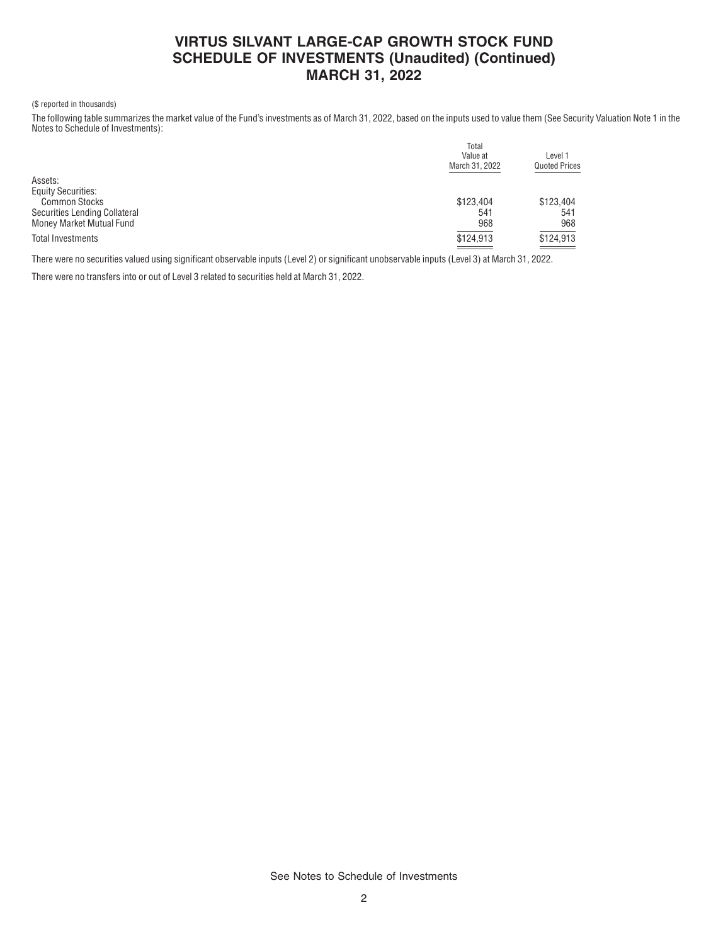## **VIRTUS SILVANT LARGE-CAP GROWTH STOCK FUND SCHEDULE OF INVESTMENTS (Unaudited) (Continued) MARCH 31, 2022**

### (\$ reported in thousands)

The following table summarizes the market value of the Fund's investments as of March 31, 2022, based on the inputs used to value them (See Security Valuation Note 1 in the Notes to Schedule of Investments):

|                               | Total<br>Value at<br>March 31, 2022            | Level 1<br><b>Quoted Prices</b> |
|-------------------------------|------------------------------------------------|---------------------------------|
| Assets:                       |                                                |                                 |
| <b>Equity Securities:</b>     |                                                |                                 |
| <b>Common Stocks</b>          | \$123,404                                      | \$123.404                       |
| Securities Lending Collateral | 541                                            | 541                             |
| Money Market Mutual Fund      | 968                                            | 968                             |
| Total Investments             | \$124,913<br><b>Contract Contract Contract</b> | \$124,913                       |

There were no securities valued using significant observable inputs (Level 2) or significant unobservable inputs (Level 3) at March 31, 2022.

There were no transfers into or out of Level 3 related to securities held at March 31, 2022.

See Notes to Schedule of Investments